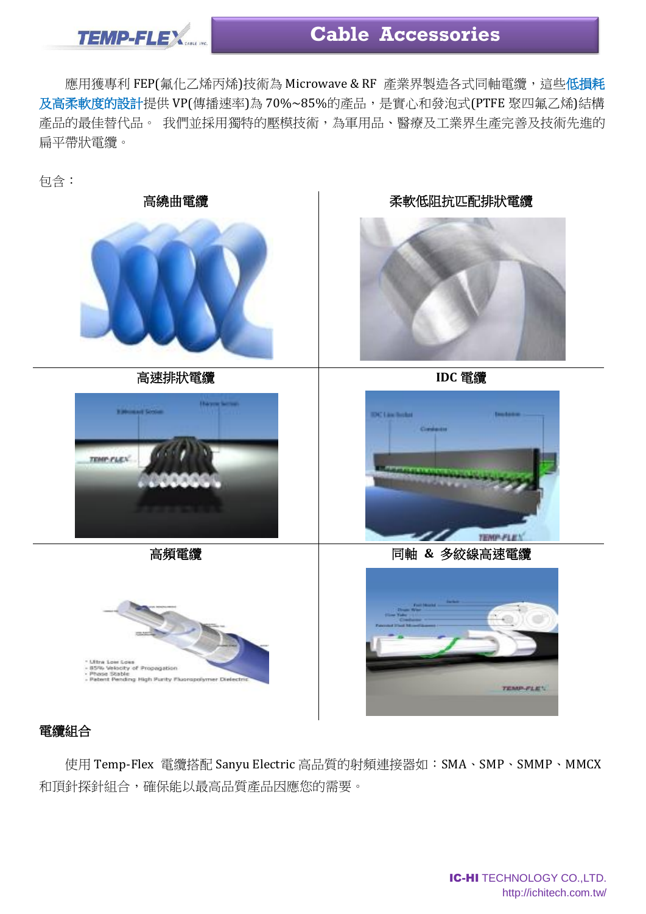

## **Cable Accessories**

應用獲專利 FEP(氟化乙烯丙烯)技術為 Microwave & RF 產業界製造各式同軸電纜,這些低損耗 及高柔軟度的設計提供 VP(傳播速率)為 70%~85%的產品,是實心和發泡式(PTFE 聚四氟乙烯)結構 產品的最佳替代品。我們並採用獨特的壓模技術,為軍用品、醫療及工業界生產完善及技術先進的 扁平帶狀電纜。

包含:



## 電纜組合

使用 Temp-Flex 電纜搭配 Sanyu Electric 高品質的射頻連接器如:SMA、SMP、SMMP、MMCX 和頂針探針組合,確保能以最高品質產品因應您的需要。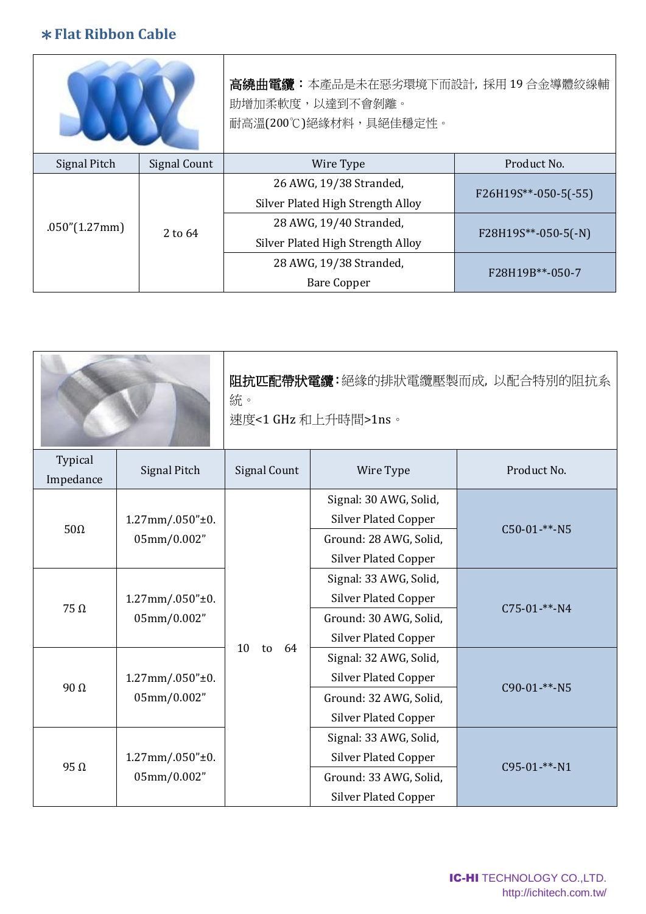## \***Flat Ribbon Cable**

|                |              | 高繞曲電纜:本產品是未在惡劣環境下而設計, 採用 19 合金導體絞線輔<br>助增加柔軟度,以達到不會剝離。<br>耐高溫(200℃)絕緣材料,具絕佳穩定性。 |                               |  |  |
|----------------|--------------|---------------------------------------------------------------------------------|-------------------------------|--|--|
| Signal Pitch   | Signal Count | Wire Type                                                                       | Product No.                   |  |  |
| .050''(1.27mm) | 2 to 64      | 26 AWG, 19/38 Stranded,                                                         | $F26H19S^{**} - 050 - 5(-55)$ |  |  |
|                |              | Silver Plated High Strength Alloy                                               |                               |  |  |
|                |              | 28 AWG, 19/40 Stranded,                                                         | F28H19S**-050-5(-N)           |  |  |
|                |              | Silver Plated High Strength Alloy                                               |                               |  |  |
|                |              | 28 AWG, 19/38 Stranded,                                                         | F28H19B**-050-7               |  |  |
|                |              | <b>Bare Copper</b>                                                              |                               |  |  |

|                      |                                        | 阻抗匹配帶狀電纜:絕緣的排狀電纜壓製而成, 以配合特別的阻抗系<br>統。<br>速度<1 GHz 和上升時間>1ns。 |                                                                                                                |                 |  |  |
|----------------------|----------------------------------------|--------------------------------------------------------------|----------------------------------------------------------------------------------------------------------------|-----------------|--|--|
| Typical<br>Impedance | <b>Signal Pitch</b>                    | <b>Signal Count</b>                                          | Wire Type                                                                                                      | Product No.     |  |  |
| $50\Omega$           | $1.27$ mm $/0.050"$ ±0.<br>05mm/0.002" |                                                              | Signal: 30 AWG, Solid,<br><b>Silver Plated Copper</b><br>Ground: 28 AWG, Solid,<br><b>Silver Plated Copper</b> | $C50-01-***-NS$ |  |  |
| $75 \Omega$          | $1.27$ mm $/0.050"$ ±0.<br>05mm/0.002" |                                                              | Signal: 33 AWG, Solid,<br><b>Silver Plated Copper</b><br>Ground: 30 AWG, Solid,<br><b>Silver Plated Copper</b> | $C75-01-***-NA$ |  |  |
| 90 $Ω$               | $1.27$ mm $/0.050"$ ±0.<br>05mm/0.002" | 10<br>to<br>64                                               | Signal: 32 AWG, Solid,<br><b>Silver Plated Copper</b><br>Ground: 32 AWG, Solid,<br><b>Silver Plated Copper</b> | C90-01-**-N5    |  |  |
| $95 \Omega$          | $1.27$ mm $/0.050"$ ±0.<br>05mm/0.002" |                                                              | Signal: 33 AWG, Solid,<br><b>Silver Plated Copper</b><br>Ground: 33 AWG, Solid,<br><b>Silver Plated Copper</b> | $C95-01$ -**-N1 |  |  |